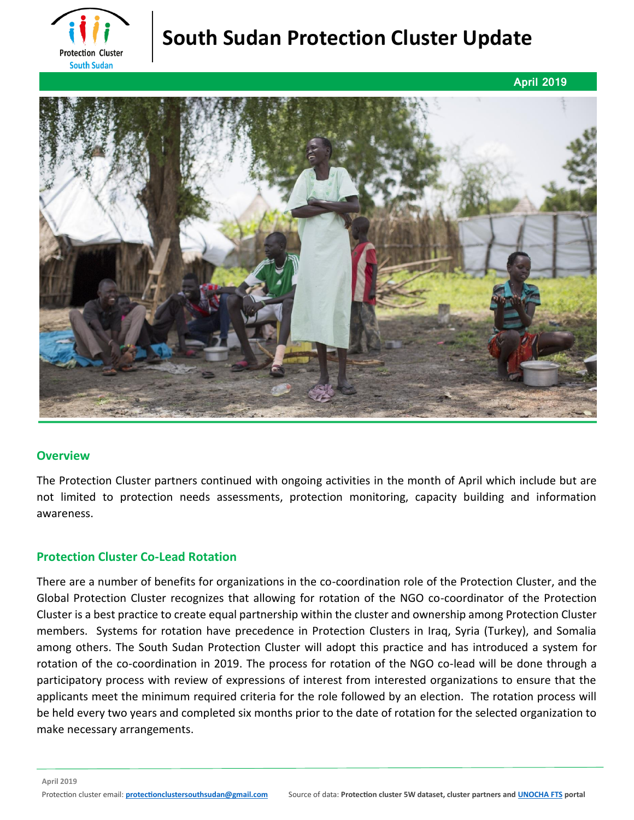

# **South Sudan Protection Cluster Update**



## **Overview**

The Protection Cluster partners continued with ongoing activities in the month of April which include but are not limited to protection needs assessments, protection monitoring, capacity building and information awareness.

# **Protection Cluster Co-Lead Rotation**

There are a number of benefits for organizations in the co-coordination role of the Protection Cluster, and the Global Protection Cluster recognizes that allowing for rotation of the NGO co-coordinator of the Protection Cluster is a best practice to create equal partnership within the cluster and ownership among Protection Cluster members. Systems for rotation have precedence in Protection Clusters in Iraq, Syria (Turkey), and Somalia among others. The South Sudan Protection Cluster will adopt this practice and has introduced a system for rotation of the co-coordination in 2019. The process for rotation of the NGO co-lead will be done through a participatory process with review of expressions of interest from interested organizations to ensure that the applicants meet the minimum required criteria for the role followed by an election. The rotation process will be held every two years and completed six months prior to the date of rotation for the selected organization to make necessary arrangements.

**April 2019**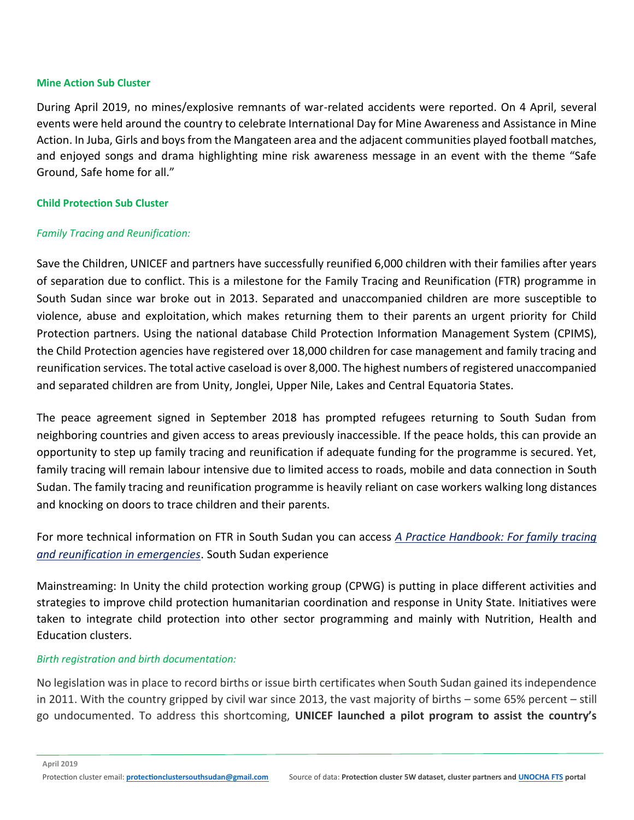#### **Mine Action Sub Cluster**

During April 2019, no mines/explosive remnants of war-related accidents were reported. On 4 April, several events were held around the country to celebrate International Day for Mine Awareness and Assistance in Mine Action. In Juba, Girls and boys from the Mangateen area and the adjacent communities played football matches, and enjoyed songs and drama highlighting mine risk awareness message in an event with the theme "Safe Ground, Safe home for all."

#### **Child Protection Sub Cluster**

## *Family Tracing and Reunification:*

Save the Children, UNICEF and partners have successfully reunified 6,000 children with their families after years of separation due to conflict. This is a milestone for the Family Tracing and Reunification (FTR) programme in South Sudan since war broke out in 2013. Separated and unaccompanied children are more susceptible to violence, abuse and exploitation, which makes returning them to their parents an urgent priority for Child Protection partners. Using the national database Child Protection Information Management System (CPIMS), the Child Protection agencies have registered over 18,000 children for case management and family tracing and reunification services. The total active caseload is over 8,000. The highest numbers of registered unaccompanied and separated children are from Unity, Jonglei, Upper Nile, Lakes and Central Equatoria States.

The peace agreement signed in September 2018 has prompted refugees returning to South Sudan from neighboring countries and given access to areas previously inaccessible. If the peace holds, this can provide an opportunity to step up family tracing and reunification if adequate funding for the programme is secured. Yet, family tracing will remain labour intensive due to limited access to roads, mobile and data connection in South Sudan. The family tracing and reunification programme is heavily reliant on case workers walking long distances and knocking on doors to trace children and their parents.

For more technical information on FTR in South Sudan you can access *[A Practice Handbook: For family tracing](https://resourcecentre.savethechildren.net/library/practice-handbook-family-tracing-and-reunification-emergencies)  [and reunification in emergencies](https://resourcecentre.savethechildren.net/library/practice-handbook-family-tracing-and-reunification-emergencies)*. South Sudan experience

Mainstreaming: In Unity the child protection working group (CPWG) is putting in place different activities and strategies to improve child protection humanitarian coordination and response in Unity State. Initiatives were taken to integrate child protection into other sector programming and mainly with Nutrition, Health and Education clusters.

## *Birth registration and birth documentation:*

No legislation was in place to record births or issue birth certificates when South Sudan gained its independence in 2011. With the country gripped by civil war since 2013, the vast majority of births – some 65% percent – still go undocumented. To address this shortcoming, **UNICEF launched a pilot program to assist the country's** 

**April 2019**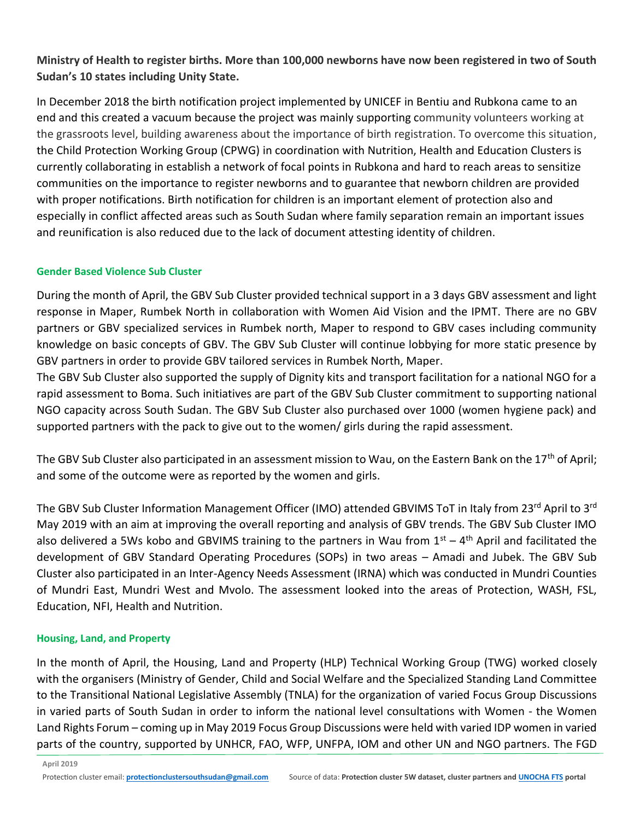# **Ministry of Health to register births. More than 100,000 newborns have now been registered in two of South Sudan's 10 states including Unity State.**

In December 2018 the birth notification project implemented by UNICEF in Bentiu and Rubkona came to an end and this created a vacuum because the project was mainly supporting community volunteers working at the grassroots level, building awareness about the importance of birth registration. To overcome this situation, the Child Protection Working Group (CPWG) in coordination with Nutrition, Health and Education Clusters is currently collaborating in establish a network of focal points in Rubkona and hard to reach areas to sensitize communities on the importance to register newborns and to guarantee that newborn children are provided with proper notifications. Birth notification for children is an important element of protection also and especially in conflict affected areas such as South Sudan where family separation remain an important issues and reunification is also reduced due to the lack of document attesting identity of children.

## **Gender Based Violence Sub Cluster**

During the month of April, the GBV Sub Cluster provided technical support in a 3 days GBV assessment and light response in Maper, Rumbek North in collaboration with Women Aid Vision and the IPMT. There are no GBV partners or GBV specialized services in Rumbek north, Maper to respond to GBV cases including community knowledge on basic concepts of GBV. The GBV Sub Cluster will continue lobbying for more static presence by GBV partners in order to provide GBV tailored services in Rumbek North, Maper.

The GBV Sub Cluster also supported the supply of Dignity kits and transport facilitation for a national NGO for a rapid assessment to Boma. Such initiatives are part of the GBV Sub Cluster commitment to supporting national NGO capacity across South Sudan. The GBV Sub Cluster also purchased over 1000 (women hygiene pack) and supported partners with the pack to give out to the women/ girls during the rapid assessment.

The GBV Sub Cluster also participated in an assessment mission to Wau, on the Eastern Bank on the 17<sup>th</sup> of April; and some of the outcome were as reported by the women and girls.

The GBV Sub Cluster Information Management Officer (IMO) attended GBVIMS ToT in Italy from 23rd April to 3rd May 2019 with an aim at improving the overall reporting and analysis of GBV trends. The GBV Sub Cluster IMO also delivered a 5Ws kobo and GBVIMS training to the partners in Wau from  $1<sup>st</sup> - 4<sup>th</sup>$  April and facilitated the development of GBV Standard Operating Procedures (SOPs) in two areas – Amadi and Jubek. The GBV Sub Cluster also participated in an Inter-Agency Needs Assessment (IRNA) which was conducted in Mundri Counties of Mundri East, Mundri West and Mvolo. The assessment looked into the areas of Protection, WASH, FSL, Education, NFI, Health and Nutrition.

# **Housing, Land, and Property**

In the month of April, the Housing, Land and Property (HLP) Technical Working Group (TWG) worked closely with the organisers (Ministry of Gender, Child and Social Welfare and the Specialized Standing Land Committee to the Transitional National Legislative Assembly (TNLA) for the organization of varied Focus Group Discussions in varied parts of South Sudan in order to inform the national level consultations with Women - the Women Land Rights Forum – coming up in May 2019 Focus Group Discussions were held with varied IDP women in varied parts of the country, supported by UNHCR, FAO, WFP, UNFPA, IOM and other UN and NGO partners. The FGD